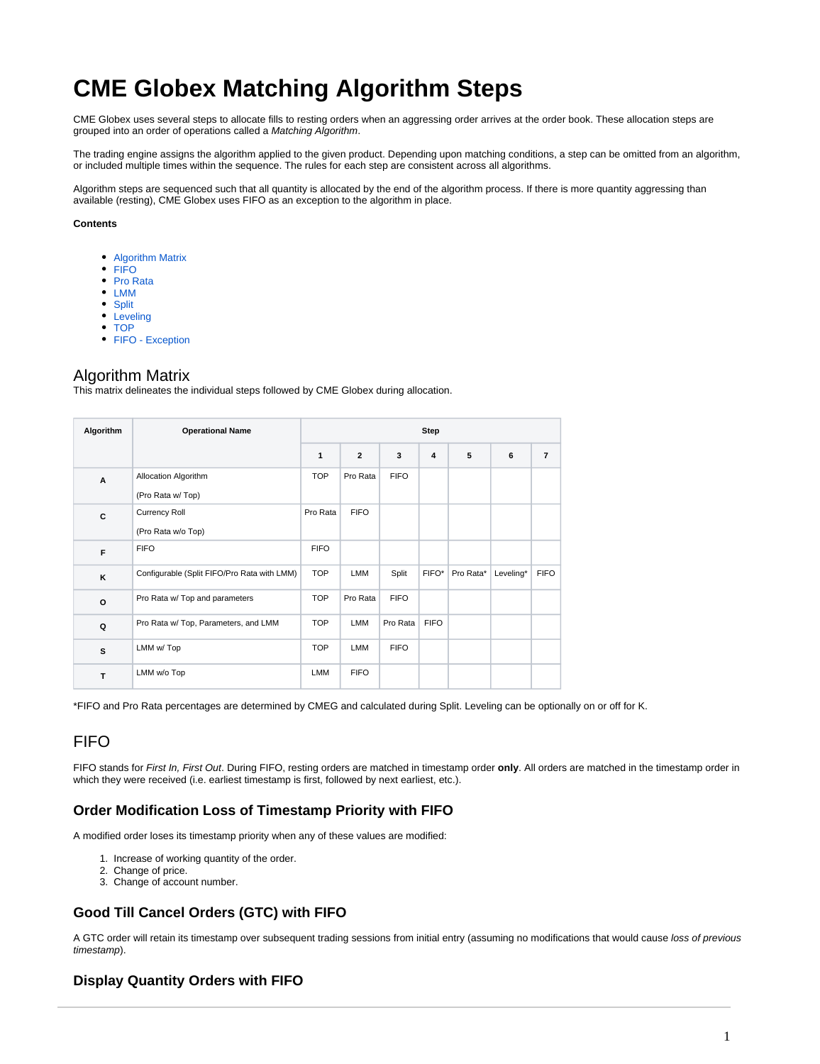# **CME Globex Matching Algorithm Steps**

CME Globex uses several steps to allocate fills to resting orders when an aggressing order arrives at the order book. These allocation steps are grouped into an order of operations called a Matching Algorithm.

The trading engine assigns the algorithm applied to the given product. Depending upon matching conditions, a step can be omitted from an algorithm, or included multiple times within the sequence. The rules for each step are consistent across all algorithms.

Algorithm steps are sequenced such that all quantity is allocated by the end of the algorithm process. If there is more quantity aggressing than available (resting), CME Globex uses FIFO as an exception to the algorithm in place.

#### **Contents**

- [Algorithm Matrix](#page-0-0)
- [FIFO](#page-0-1)
- [Pro Rata](#page-1-0)
- [LMM](#page-2-0)
- [Split](#page-3-0) • [Leveling](#page-4-0)
- [TOP](#page-4-1)
- [FIFO Exception](#page-5-0)

#### <span id="page-0-0"></span>Algorithm Matrix

This matrix delineates the individual steps followed by CME Globex during allocation.

| Algorithm | <b>Operational Name</b>                     |              |                |             | <b>Step</b> |           |           |                |  |  |
|-----------|---------------------------------------------|--------------|----------------|-------------|-------------|-----------|-----------|----------------|--|--|
|           |                                             | $\mathbf{1}$ | $\overline{2}$ | 3           | 4           | 5         | 6         | $\overline{7}$ |  |  |
| A         | Allocation Algorithm<br>(Pro Rata w/Top)    | <b>TOP</b>   | Pro Rata       | <b>FIFO</b> |             |           |           |                |  |  |
| C         | <b>Currency Roll</b><br>(Pro Rata w/o Top)  | Pro Rata     | <b>FIFO</b>    |             |             |           |           |                |  |  |
| F         | <b>FIFO</b>                                 | <b>FIFO</b>  |                |             |             |           |           |                |  |  |
| K         | Configurable (Split FIFO/Pro Rata with LMM) | <b>TOP</b>   | LMM            | Split       | FIFO*       | Pro Rata* | Leveling* | <b>FIFO</b>    |  |  |
| $\circ$   | Pro Rata w/ Top and parameters              | <b>TOP</b>   | Pro Rata       | <b>FIFO</b> |             |           |           |                |  |  |
| Q         | Pro Rata w/ Top, Parameters, and LMM        | <b>TOP</b>   | LMM            | Pro Rata    | <b>FIFO</b> |           |           |                |  |  |
| s         | LMM w/ Top                                  | <b>TOP</b>   | LMM            | <b>FIFO</b> |             |           |           |                |  |  |
| T         | LMM w/o Top                                 | <b>LMM</b>   | <b>FIFO</b>    |             |             |           |           |                |  |  |

\*FIFO and Pro Rata percentages are determined by CMEG and calculated during Split. Leveling can be optionally on or off for K.

## <span id="page-0-1"></span>**FIFO**

FIFO stands for First In, First Out. During FIFO, resting orders are matched in timestamp order **only**. All orders are matched in the timestamp order in which they were received (i.e. earliest timestamp is first, followed by next earliest, etc.).

#### **Order Modification Loss of Timestamp Priority with FIFO**

A modified order loses its timestamp priority when any of these values are modified:

- 1. Increase of working quantity of the order.
- 2. Change of price.
- 3. Change of account number.

## **Good Till Cancel Orders (GTC) with FIFO**

A GTC order will retain its timestamp over subsequent trading sessions from initial entry (assuming no modifications that would cause loss of previous timestamp).

#### **Display Quantity Orders with FIFO**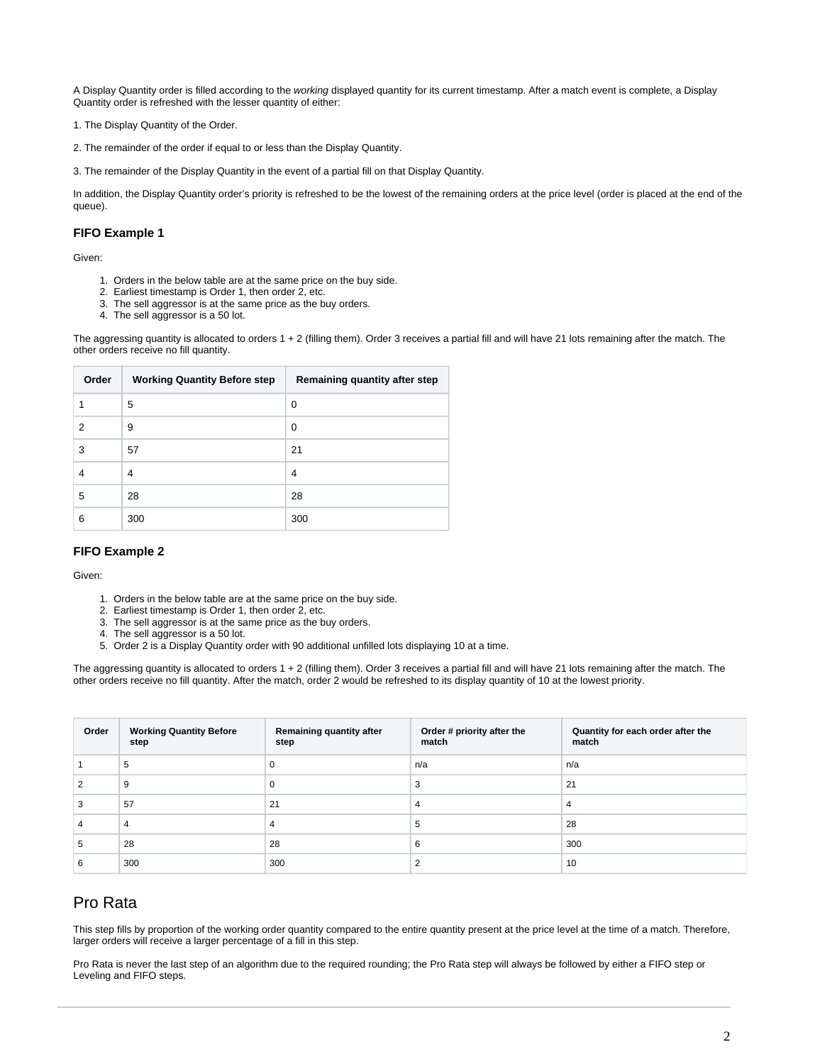A Display Quantity order is filled according to the working displayed quantity for its current timestamp. After a match event is complete, a Display Quantity order is refreshed with the lesser quantity of either:

1. The Display Quantity of the Order.

2. The remainder of the order if equal to or less than the Display Quantity.

3. The remainder of the Display Quantity in the event of a partial fill on that Display Quantity.

In addition, the Display Quantity order's priority is refreshed to be the lowest of the remaining orders at the price level (order is placed at the end of the queue).

#### **FIFO Example 1**

Given:

- 1. Orders in the below table are at the same price on the buy side.
- 2. Earliest timestamp is Order 1, then order 2, etc.
- 3. The sell aggressor is at the same price as the buy orders.
- 4. The sell aggressor is a 50 lot.

The aggressing quantity is allocated to orders 1 + 2 (filling them). Order 3 receives a partial fill and will have 21 lots remaining after the match. The other orders receive no fill quantity.

| Order | <b>Working Quantity Before step</b> | Remaining quantity after step |
|-------|-------------------------------------|-------------------------------|
|       | 5                                   | 0                             |
| 2     | 9                                   | 0                             |
| 3     | 57                                  | 21                            |
|       | 4                                   | 4                             |
| 5     | 28                                  | 28                            |
| 6     | 300                                 | 300                           |

#### **FIFO Example 2**

Given:

- 1. Orders in the below table are at the same price on the buy side.
- 2. Earliest timestamp is Order 1, then order 2, etc.
- 3. The sell aggressor is at the same price as the buy orders.
- 4. The sell aggressor is a 50 lot.
- 5. Order 2 is a Display Quantity order with 90 additional unfilled lots displaying 10 at a time.

The aggressing quantity is allocated to orders 1 + 2 (filling them). Order 3 receives a partial fill and will have 21 lots remaining after the match. The other orders receive no fill quantity. After the match, order 2 would be refreshed to its display quantity of 10 at the lowest priority.

| Order | <b>Working Quantity Before</b><br>step | Remaining quantity after<br>step | Order # priority after the<br>match | Quantity for each order after the<br>match |
|-------|----------------------------------------|----------------------------------|-------------------------------------|--------------------------------------------|
|       | 5                                      | U                                | n/a                                 | n/a                                        |
|       | 9                                      | 0                                | 3                                   | 21                                         |
| з     | 57                                     | 21                               | 4                                   | 4                                          |
|       | 4                                      | 4                                | 5                                   | 28                                         |
| G     | 28                                     | 28                               | 6                                   | 300                                        |
|       | 300                                    | 300                              | ົ                                   | 10                                         |

## <span id="page-1-0"></span>Pro Rata

This step fills by proportion of the working order quantity compared to the entire quantity present at the price level at the time of a match. Therefore, larger orders will receive a larger percentage of a fill in this step.

Pro Rata is never the last step of an algorithm due to the required rounding; the Pro Rata step will always be followed by either a FIFO step or Leveling and FIFO steps.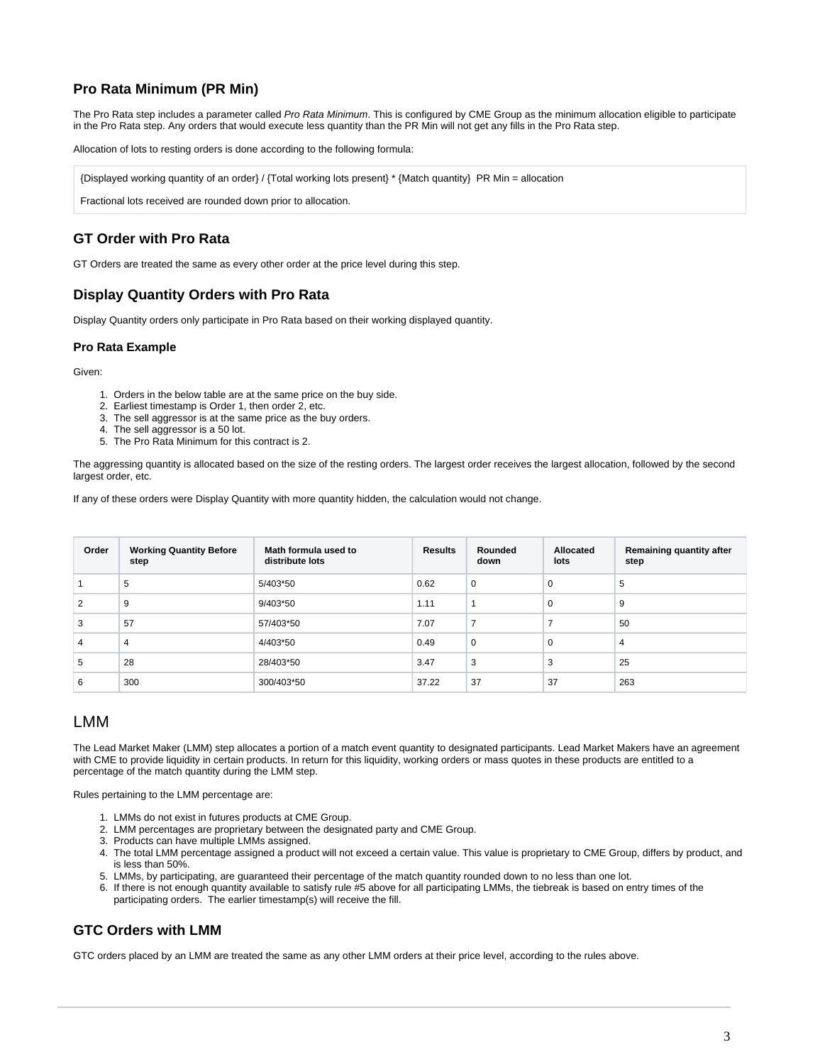## **Pro Rata Minimum (PR Min)**

The Pro Rata step includes a parameter called Pro Rata Minimum. This is configured by CME Group as the minimum allocation eligible to participate in the Pro Rata step. Any orders that would execute less quantity than the PR Min will not get any fills in the Pro Rata step.

Allocation of lots to resting orders is done according to the following formula:

{Displayed working quantity of an order} / {Total working lots present} \* {Match quantity} PR Min = allocation

Fractional lots received are rounded down prior to allocation.

#### **GT Order with Pro Rata**

GT Orders are treated the same as every other order at the price level during this step.

#### **Display Quantity Orders with Pro Rata**

Display Quantity orders only participate in Pro Rata based on their working displayed quantity.

#### **Pro Rata Example**

Given:

- 1. Orders in the below table are at the same price on the buy side.
- 2. Earliest timestamp is Order 1, then order 2, etc.
- 3. The sell aggressor is at the same price as the buy orders.
- 4. The sell aggressor is a 50 lot.
- 5. The Pro Rata Minimum for this contract is 2.

The aggressing quantity is allocated based on the size of the resting orders. The largest order receives the largest allocation, followed by the second largest order, etc.

If any of these orders were Display Quantity with more quantity hidden, the calculation would not change.

| Order | <b>Working Quantity Before</b><br>step | Math formula used to<br>distribute lots | <b>Results</b> | Rounded<br>down | Allocated<br>lots | Remaining quantity after<br>step |
|-------|----------------------------------------|-----------------------------------------|----------------|-----------------|-------------------|----------------------------------|
|       | 5                                      | 5/403*50                                | 0.62           | 0               | 0                 | 5                                |
| 2     | 9                                      | $9/403*50$                              | 1.11           |                 | 0                 | 9                                |
| 3     | 57                                     | 57/403*50                               | 7.07           | $\overline{ }$  | ⇁                 | 50                               |
| 4     | $\overline{4}$                         | 4/403*50                                | 0.49           | $\mathbf 0$     | 0                 | 4                                |
| 5     | 28                                     | 28/403*50                               | 3.47           | 3               | 3                 | 25                               |
| 6     | 300                                    | 300/403*50                              | 37.22          | 37              | 37                | 263                              |

## <span id="page-2-0"></span>LMM

The Lead Market Maker (LMM) step allocates a portion of a match event quantity to designated participants. Lead Market Makers have an agreement with CME to provide liquidity in certain products. In return for this liquidity, working orders or mass quotes in these products are entitled to a percentage of the match quantity during the LMM step.

Rules pertaining to the LMM percentage are:

- 1. LMMs do not exist in futures products at CME Group.
- 2. LMM percentages are proprietary between the designated party and CME Group.
- 3. Products can have multiple LMMs assigned.
- 4. The total LMM percentage assigned a product will not exceed a certain value. This value is proprietary to CME Group, differs by product, and is less than 50%.
- 5. LMMs, by participating, are guaranteed their percentage of the match quantity rounded down to no less than one lot.
- 6. If there is not enough quantity available to satisfy rule #5 above for all participating LMMs, the tiebreak is based on entry times of the participating orders. The earlier timestamp(s) will receive the fill.

#### **GTC Orders with LMM**

GTC orders placed by an LMM are treated the same as any other LMM orders at their price level, according to the rules above.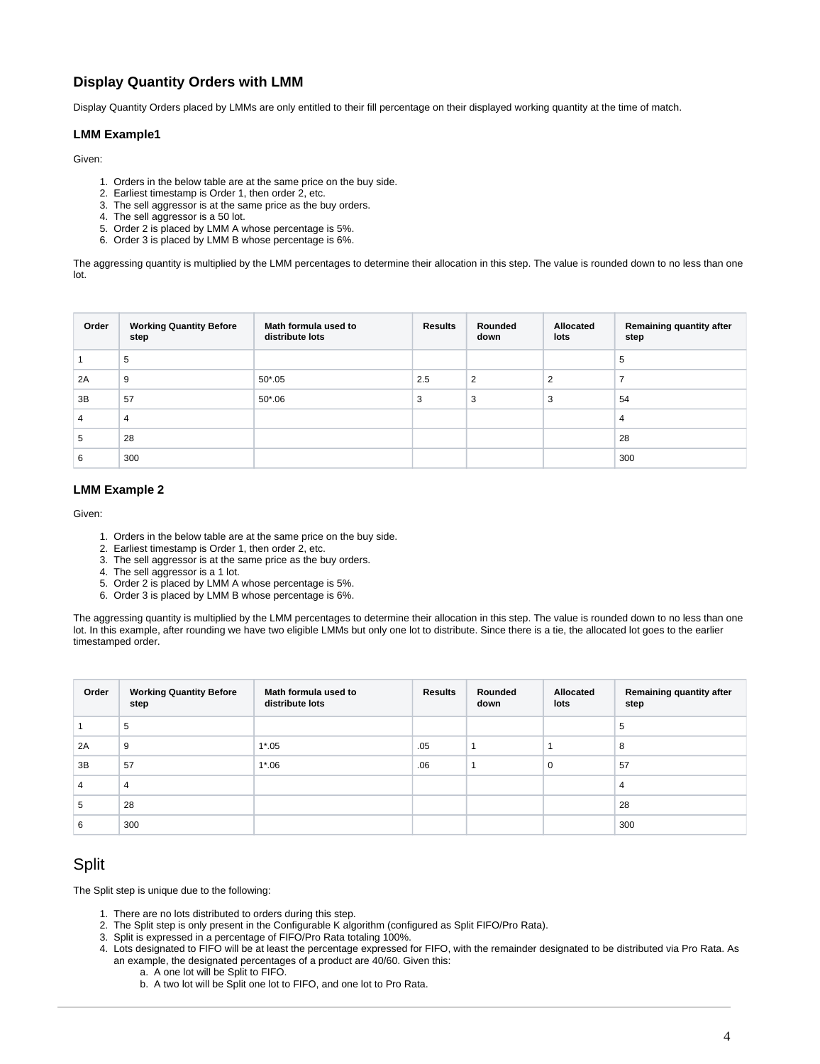### **Display Quantity Orders with LMM**

Display Quantity Orders placed by LMMs are only entitled to their fill percentage on their displayed working quantity at the time of match.

#### **LMM Example1**

Given:

- 1. Orders in the below table are at the same price on the buy side.
- 2. Earliest timestamp is Order 1, then order 2, etc.
- 3. The sell aggressor is at the same price as the buy orders.
- 4. The sell aggressor is a 50 lot.
- 5. Order 2 is placed by LMM A whose percentage is 5%.
- 6. Order 3 is placed by LMM B whose percentage is 6%.

The aggressing quantity is multiplied by the LMM percentages to determine their allocation in this step. The value is rounded down to no less than one lot.

| Order | <b>Working Quantity Before</b><br>step | Math formula used to<br>distribute lots | <b>Results</b> | Rounded<br>down | Allocated<br>lots | Remaining quantity after<br>step |
|-------|----------------------------------------|-----------------------------------------|----------------|-----------------|-------------------|----------------------------------|
|       | 5                                      |                                         |                |                 |                   | 5                                |
| 2A    | 9                                      | $50*05$                                 | 2.5            | $\overline{2}$  | $\overline{2}$    |                                  |
| 3B    | 57                                     | $50*06$                                 | 3              | 3               | 3                 | 54                               |
| 4     | 4                                      |                                         |                |                 |                   | 4                                |
| 5     | 28                                     |                                         |                |                 |                   | 28                               |
| 6     | 300                                    |                                         |                |                 |                   | 300                              |

#### **LMM Example 2**

Given:

- 1. Orders in the below table are at the same price on the buy side.
- 2. Earliest timestamp is Order 1, then order 2, etc.
- 3. The sell aggressor is at the same price as the buy orders.
- 4. The sell aggressor is a 1 lot.
- 5. Order 2 is placed by LMM A whose percentage is 5%.
- 6. Order 3 is placed by LMM B whose percentage is 6%.

The aggressing quantity is multiplied by the LMM percentages to determine their allocation in this step. The value is rounded down to no less than one lot. In this example, after rounding we have two eligible LMMs but only one lot to distribute. Since there is a tie, the allocated lot goes to the earlier timestamped order.

| Order | <b>Working Quantity Before</b><br>step | Math formula used to<br>distribute lots | <b>Results</b> | Rounded<br>down | Allocated<br>lots | Remaining quantity after<br>step |
|-------|----------------------------------------|-----------------------------------------|----------------|-----------------|-------------------|----------------------------------|
|       | 5                                      |                                         |                |                 |                   | 5                                |
| 2A    | 9                                      | $1*05$                                  | .05            |                 |                   | 8                                |
| 3B    | 57                                     | $1*06$                                  | .06            |                 | $\mathbf 0$       | 57                               |
| 4     | $\overline{4}$                         |                                         |                |                 |                   | 4                                |
| 5     | 28                                     |                                         |                |                 |                   | 28                               |
| 6     | 300                                    |                                         |                |                 |                   | 300                              |

## <span id="page-3-0"></span>**Split**

The Split step is unique due to the following:

- 1. There are no lots distributed to orders during this step.
- 2. The Split step is only present in the Configurable K algorithm (configured as Split FIFO/Pro Rata).
- 3. Split is expressed in a percentage of FIFO/Pro Rata totaling 100%.
- 4. Lots designated to FIFO will be at least the percentage expressed for FIFO, with the remainder designated to be distributed via Pro Rata. As an example, the designated percentages of a product are 40/60. Given this:
	- a. A one lot will be Split to FIFO.
		- b. A two lot will be Split one lot to FIFO, and one lot to Pro Rata.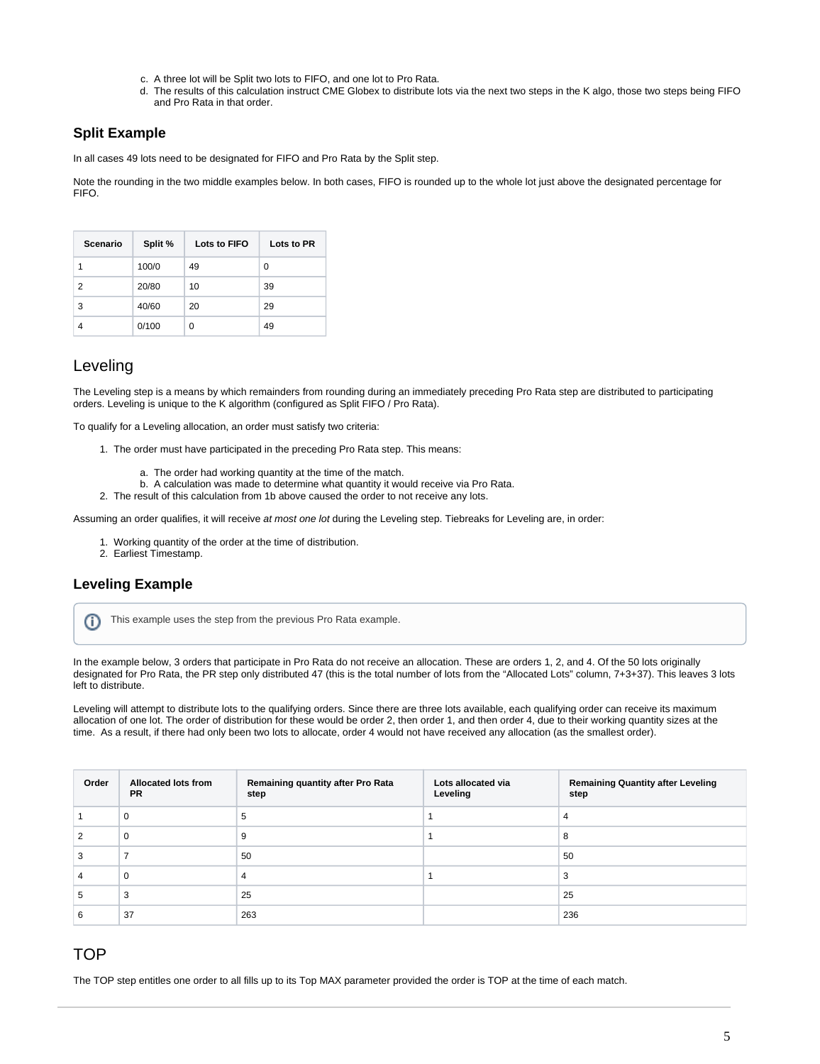- c. A three lot will be Split two lots to FIFO, and one lot to Pro Rata.
- d. The results of this calculation instruct CME Globex to distribute lots via the next two steps in the K algo, those two steps being FIFO and Pro Rata in that order.

#### **Split Example**

In all cases 49 lots need to be designated for FIFO and Pro Rata by the Split step.

Note the rounding in the two middle examples below. In both cases, FIFO is rounded up to the whole lot just above the designated percentage for FIFO.

| Scenario | Split % | Lots to FIFO | Lots to PR |
|----------|---------|--------------|------------|
| 1        | 100/0   | 49           | 0          |
| 2        | 20/80   | 10           | 39         |
| 3        | 40/60   | 20           | 29         |
|          | 0/100   | 0            | 49         |

## <span id="page-4-0"></span>Leveling

The Leveling step is a means by which remainders from rounding during an immediately preceding Pro Rata step are distributed to participating orders. Leveling is unique to the K algorithm (configured as Split FIFO / Pro Rata).

To qualify for a Leveling allocation, an order must satisfy two criteria:

- 1. The order must have participated in the preceding Pro Rata step. This means:
	- a. The order had working quantity at the time of the match.
- b. A calculation was made to determine what quantity it would receive via Pro Rata.
- 2. The result of this calculation from 1b above caused the order to not receive any lots.

Assuming an order qualifies, it will receive at most one lot during the Leveling step. Tiebreaks for Leveling are, in order:

- 1. Working quantity of the order at the time of distribution.
- 2. Earliest Timestamp.

#### **Leveling Example**

This example uses the step from the previous Pro Rata example.ന

In the example below, 3 orders that participate in Pro Rata do not receive an allocation. These are orders 1, 2, and 4. Of the 50 lots originally designated for Pro Rata, the PR step only distributed 47 (this is the total number of lots from the "Allocated Lots" column, 7+3+37). This leaves 3 lots left to distribute.

Leveling will attempt to distribute lots to the qualifying orders. Since there are three lots available, each qualifying order can receive its maximum allocation of one lot. The order of distribution for these would be order 2, then order 1, and then order 4, due to their working quantity sizes at the time. As a result, if there had only been two lots to allocate, order 4 would not have received any allocation (as the smallest order).

| Order | <b>Allocated lots from</b><br>PR. | Remaining quantity after Pro Rata<br>step | Lots allocated via<br>Leveling | <b>Remaining Quantity after Leveling</b><br>step |
|-------|-----------------------------------|-------------------------------------------|--------------------------------|--------------------------------------------------|
|       | 0                                 | 5                                         |                                | $\overline{4}$                                   |
|       | 0                                 | 9                                         |                                | 8                                                |
|       |                                   | 50                                        |                                | 50                                               |
|       | 0                                 | 4                                         |                                | 3                                                |
| G     | 3                                 | 25                                        |                                | 25                                               |
|       | 37                                | 263                                       |                                | 236                                              |

## <span id="page-4-1"></span>**TOP**

The TOP step entitles one order to all fills up to its Top MAX parameter provided the order is TOP at the time of each match.